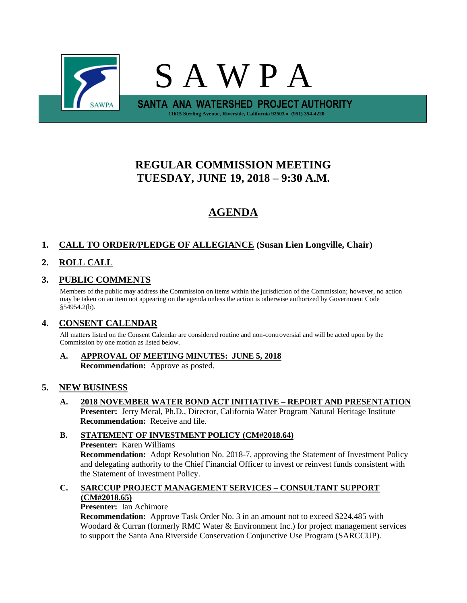

# **REGULAR COMMISSION MEETING TUESDAY, JUNE 19, 2018 – 9:30 A.M.**

# **AGENDA**

## **1. CALL TO ORDER/PLEDGE OF ALLEGIANCE (Susan Lien Longville, Chair)**

## **2. ROLL CALL**

### **3. PUBLIC COMMENTS**

Members of the public may address the Commission on items within the jurisdiction of the Commission; however, no action may be taken on an item not appearing on the agenda unless the action is otherwise authorized by Government Code §54954.2(b).

#### **4. CONSENT CALENDAR**

All matters listed on the Consent Calendar are considered routine and non-controversial and will be acted upon by the Commission by one motion as listed below.

**A. APPROVAL OF MEETING MINUTES: JUNE 5, 2018 Recommendation:** Approve as posted.

#### **5. NEW BUSINESS**

**A. 2018 NOVEMBER WATER BOND ACT INITIATIVE – REPORT AND PRESENTATION Presenter:** Jerry Meral, Ph.D., Director, California Water Program Natural Heritage Institute **Recommendation:** Receive and file.

#### **B. STATEMENT OF INVESTMENT POLICY (CM#2018.64) Presenter:** Karen Williams **Recommendation:** Adopt Resolution No. 2018-7, approving the Statement of Investment Policy and delegating authority to the Chief Financial Officer to invest or reinvest funds consistent with the Statement of Investment Policy.

#### **C. SARCCUP PROJECT MANAGEMENT SERVICES – CONSULTANT SUPPORT (CM#2018.65)**

**Presenter:** Ian Achimore

**Recommendation:** Approve Task Order No. 3 in an amount not to exceed \$224,485 with Woodard & Curran (formerly RMC Water & Environment Inc.) for project management services to support the Santa Ana Riverside Conservation Conjunctive Use Program (SARCCUP).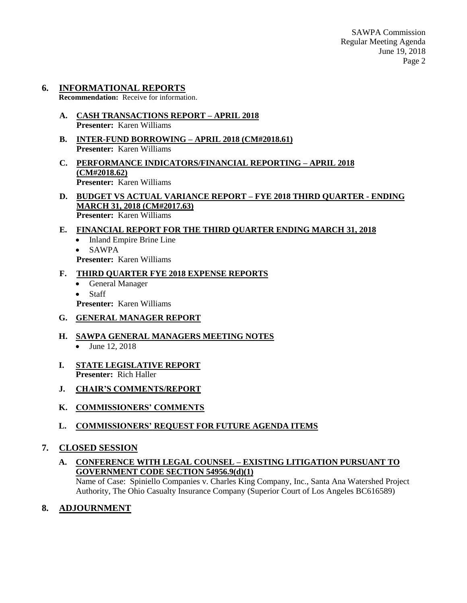### **6. INFORMATIONAL REPORTS**

**Recommendation:** Receive for information.

- **A. CASH TRANSACTIONS REPORT – APRIL 2018 Presenter:** Karen Williams
- **B. INTER-FUND BORROWING – APRIL 2018 (CM#2018.61) Presenter:** Karen Williams
- **C. PERFORMANCE INDICATORS/FINANCIAL REPORTING – APRIL 2018 (CM#2018.62) Presenter:** Karen Williams
- **D. BUDGET VS ACTUAL VARIANCE REPORT – FYE 2018 THIRD QUARTER - ENDING MARCH 31, 2018 (CM#2017.63) Presenter:** Karen Williams

#### **E. FINANCIAL REPORT FOR THE THIRD QUARTER ENDING MARCH 31, 2018**

- Inland Empire Brine Line
- $\bullet$  SAWPA

**Presenter:** Karen Williams

#### **F. THIRD QUARTER FYE 2018 EXPENSE REPORTS**

- General Manager
- Staff

**Presenter:** Karen Williams

#### **G. GENERAL MANAGER REPORT**

#### **H. SAWPA GENERAL MANAGERS MEETING NOTES**

- $\bullet$  June 12, 2018
- **I. STATE LEGISLATIVE REPORT Presenter:** Rich Haller
- **J. CHAIR'S COMMENTS/REPORT**
- **K. COMMISSIONERS' COMMENTS**
- **L. COMMISSIONERS' REQUEST FOR FUTURE AGENDA ITEMS**

#### **7. CLOSED SESSION**

**A. CONFERENCE WITH LEGAL COUNSEL – EXISTING LITIGATION PURSUANT TO GOVERNMENT CODE SECTION 54956.9(d)(1)**

Name of Case: Spiniello Companies v. Charles King Company, Inc., Santa Ana Watershed Project Authority, The Ohio Casualty Insurance Company (Superior Court of Los Angeles BC616589)

#### **8. ADJOURNMENT**